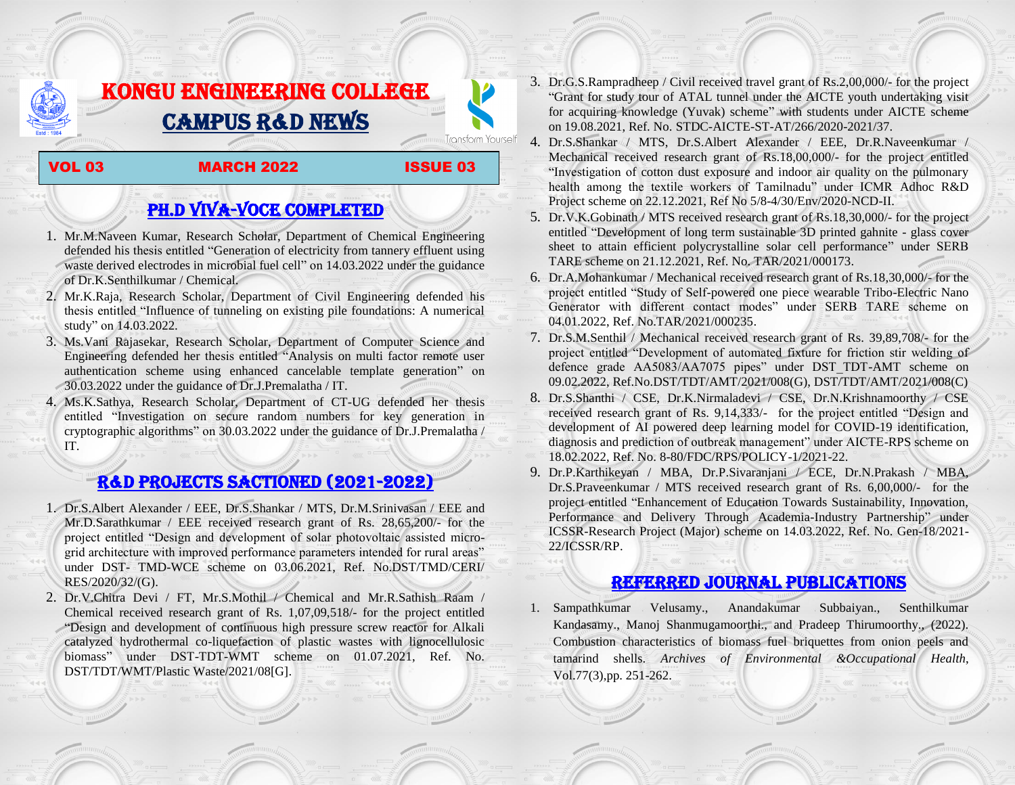# KONGU ENGINEERING COLLEGE CAMPUS R&D NEWS

#### VOL 03 MARCH 2022 ISSUE 03

**Transform Yourself** 

## PH.D VIVA-VOCE COMPLETED

- 1. Mr.M.Naveen Kumar, Research Scholar, Department of Chemical Engineering defended his thesis entitled "Generation of electricity from tannery effluent using waste derived electrodes in microbial fuel cell" on 14.03.2022 under the guidance of Dr.K.Senthilkumar / Chemical.
- 2. Mr.K.Raja, Research Scholar, Department of Civil Engineering defended his thesis entitled "Influence of tunneling on existing pile foundations: A numerical study" on 14.03.2022.
- 3. Ms.Vani Rajasekar, Research Scholar, Department of Computer Science and Engineering defended her thesis entitled "Analysis on multi factor remote user authentication scheme using enhanced cancelable template generation" on 30.03.2022 under the guidance of Dr.J.Premalatha / IT.
- 4. Ms.K.Sathya, Research Scholar, Department of CT-UG defended her thesis entitled "Investigation on secure random numbers for key generation in cryptographic algorithms" on 30.03.2022 under the guidance of Dr.J.Premalatha / IT.

### R&D PROJECTS SACTIONED (2021-2022)

- 1. Dr.S.Albert Alexander / EEE, Dr.S.Shankar / MTS, Dr.M.Srinivasan / EEE and Mr.D.Sarathkumar / EEE received research grant of Rs. 28,65,200/- for the project entitled "Design and development of solar photovoltaic assisted microgrid architecture with improved performance parameters intended for rural areas" under DST- TMD-WCE scheme on 03.06.2021, Ref. No.DST/TMD/CERI/ RES/2020/32/(G).
- 2. Dr.V.Chitra Devi / FT, Mr.S.Mothil / Chemical and Mr.R.Sathish Raam / Chemical received research grant of Rs. 1,07,09,518/- for the project entitled "Design and development of continuous high pressure screw reactor for Alkali catalyzed hydrothermal co-liquefaction of plastic wastes with lignocellulosic biomass" under DST-TDT-WMT scheme on 01.07.2021, Ref. No. DST/TDT/WMT/Plastic Waste/2021/08[G].
- 3. Dr.G.S.Rampradheep / Civil received travel grant of Rs.2,00,000/- for the project "Grant for study tour of ATAL tunnel under the AICTE youth undertaking visit for acquiring knowledge (Yuvak) scheme" with students under AICTE scheme on 19.08.2021, Ref. No. STDC-AICTE-ST-AT/266/2020-2021/37.
- 4. Dr.S.Shankar / MTS, Dr.S.Albert Alexander / EEE, Dr.R.Naveenkumar / Mechanical received research grant of Rs.18,00,000/- for the project entitled "Investigation of cotton dust exposure and indoor air quality on the pulmonary health among the textile workers of Tamilnadu" under ICMR Adhoc R&D Project scheme on 22.12.2021, Ref No 5/8-4/30/Env/2020-NCD-II.
- 5. Dr.V.K.Gobinath / MTS received research grant of Rs.18,30,000/- for the project entitled "Development of long term sustainable 3D printed gahnite - glass cover sheet to attain efficient polycrystalline solar cell performance" under SERB TARE scheme on 21.12.2021, Ref. No. TAR/2021/000173.
- 6. Dr.A.Mohankumar / Mechanical received research grant of Rs.18,30,000/- for the project entitled "Study of Self-powered one piece wearable Tribo-Electric Nano Generator with different contact modes" under SERB TARE scheme on 04.01.2022, Ref. No.TAR/2021/000235.
- 7. Dr.S.M.Senthil / Mechanical received research grant of Rs. 39,89,708/- for the project entitled "Development of automated fixture for friction stir welding of defence grade AA5083/AA7075 pipes" under DST\_TDT-AMT scheme on 09.02.2022, Ref.No.DST/TDT/AMT/2021/008(G), DST/TDT/AMT/2021/008(C)
- 8. Dr.S.Shanthi / CSE, Dr.K.Nirmaladevi / CSE, Dr.N.Krishnamoorthy / CSE received research grant of Rs. 9,14,333/- for the project entitled "Design and development of AI powered deep learning model for COVID-19 identification, diagnosis and prediction of outbreak management" under AICTE-RPS scheme on 18.02.2022, Ref. No. 8-80/FDC/RPS/POLICY-1/2021-22.
- 9. Dr.P.Karthikeyan / MBA, Dr.P.Sivaranjani / ECE, Dr.N.Prakash / MBA, Dr.S.Praveenkumar / MTS received research grant of Rs. 6,00,000/- for the project entitled "Enhancement of Education Towards Sustainability, Innovation, Performance and Delivery Through Academia-Industry Partnership" under ICSSR-Research Project (Major) scheme on 14.03.2022, Ref. No. Gen-18/2021- 22/ICSSR/RP.

### Referred JOURNAL publications

1. Sampathkumar Velusamy., Anandakumar Subbaiyan., Senthilkumar Kandasamy., Manoj Shanmugamoorthi., and Pradeep Thirumoorthy., (2022). Combustion characteristics of biomass fuel briquettes from onion peels and tamarind shells. *Archives of Environmental &Occupational Health*, Vol.77(3),pp. 251-262.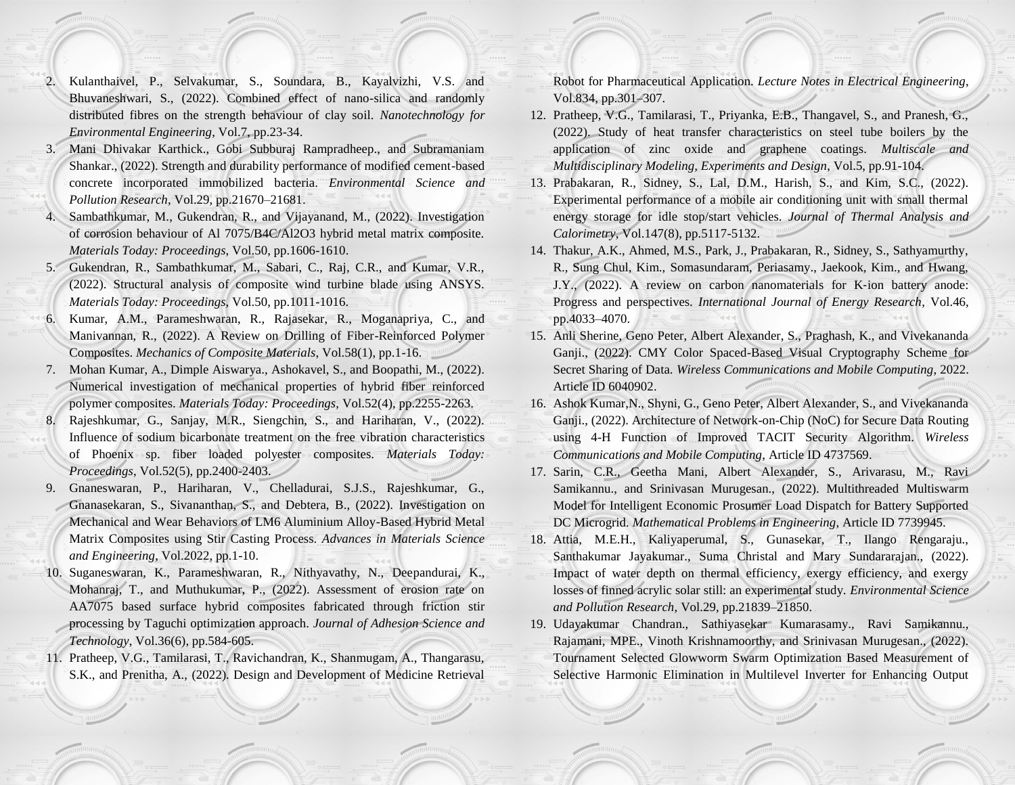- 2. Kulanthaivel, P., Selvakumar, S., Soundara, B., Kayalvizhi, V.S. and Bhuvaneshwari, S., (2022). Combined effect of nano-silica and randomly distributed fibres on the strength behaviour of clay soil. *Nanotechnology for Environmental Engineering*, Vol.7, pp.23-34.
- 3. Mani Dhivakar Karthick., Gobi Subburaj Rampradheep., and Subramaniam Shankar., (2022). Strength and durability performance of modified cement-based concrete incorporated immobilized bacteria. *Environmental Science and Pollution Research*, Vol.29, pp.21670–21681.
- 4. Sambathkumar, M., Gukendran, R., and Vijayanand, M., (2022). Investigation of corrosion behaviour of Al 7075/B4C/Al2O3 hybrid metal matrix composite. *Materials Today: Proceedings*, Vol.50, pp.1606-1610.
- 5. Gukendran, R., Sambathkumar, M., Sabari, C., Raj, C.R., and Kumar, V.R., (2022). Structural analysis of composite wind turbine blade using ANSYS. *Materials Today: Proceedings*, Vol.50, pp.1011-1016.
- 6. Kumar, A.M., Parameshwaran, R., Rajasekar, R., Moganapriya, C., and Manivannan, R., (2022). A Review on Drilling of Fiber-Reinforced Polymer Composites. *Mechanics of Composite Materials*, Vol.58(1), pp.1-16.
- 7. Mohan Kumar, A., Dimple Aiswarya., Ashokavel, S., and Boopathi, M., (2022). Numerical investigation of mechanical properties of hybrid fiber reinforced polymer composites. *Materials Today: Proceedings*, Vol.52(4), pp.2255-2263. 8. Rajeshkumar, G., Sanjay, M.R., Siengchin, S., and Hariharan, V., (2022). Influence of sodium bicarbonate treatment on the free vibration characteristics of Phoenix sp. fiber loaded polyester composites. *Materials Today: Proceedings*, Vol.52(5), pp.2400-2403.
- 9. Gnaneswaran, P., Hariharan, V., Chelladurai, S.J.S., Rajeshkumar, G., Gnanasekaran, S., Sivananthan, S., and Debtera, B., (2022). Investigation on Mechanical and Wear Behaviors of LM6 Aluminium Alloy-Based Hybrid Metal Matrix Composites using Stir Casting Process. *Advances in Materials Science and Engineering*, Vol.2022, pp.1-10.
- 10. Suganeswaran, K., Parameshwaran, R., Nithyavathy, N., Deepandurai, K., Mohanraj, T., and Muthukumar, P., (2022). Assessment of erosion rate on AA7075 based surface hybrid composites fabricated through friction stir processing by Taguchi optimization approach. *Journal of Adhesion Science and Technology*, Vol.36(6), pp.584-605.
- 11. Pratheep, V.G., Tamilarasi, T., Ravichandran, K., Shanmugam, A., Thangarasu, S.K., and Prenitha, A., (2022). Design and Development of Medicine Retrieval

Robot for Pharmaceutical Application. *Lecture Notes in Electrical Engineering*, Vol.834, pp.301–307.

- 12. Pratheep, V.G., Tamilarasi, T., Priyanka, E.B., Thangavel, S., and Pranesh, G., (2022). Study of heat transfer characteristics on steel tube boilers by the application of zinc oxide and graphene coatings. *Multiscale and Multidisciplinary Modeling, Experiments and Design*, Vol.5, pp.91-104.
- 13. Prabakaran, R., Sidney, S., Lal, D.M., Harish, S., and Kim, S.C., (2022). Experimental performance of a mobile air conditioning unit with small thermal energy storage for idle stop/start vehicles. *Journal of Thermal Analysis and Calorimetry*, Vol.147(8), pp.5117-5132.
- 14. Thakur, A.K., Ahmed, M.S., Park, J., Prabakaran, R., Sidney, S., Sathyamurthy, R., Sung Chul, Kim., Somasundaram, Periasamy., Jaekook, Kim., and Hwang, J.Y., (2022). A review on carbon nanomaterials for K‐ion battery anode: Progress and perspectives. *International Journal of Energy Research*, Vol.46, pp.4033–4070.
- 15. Anli Sherine, Geno Peter, Albert Alexander, S., Praghash, K., and Vivekananda Ganji., (2022). CMY Color Spaced-Based Visual Cryptography Scheme for Secret Sharing of Data. *Wireless Communications and Mobile Computing*, 2022. Article ID 6040902.
- 16. Ashok Kumar,N., Shyni, G., Geno Peter, Albert Alexander, S., and Vivekananda Ganji., (2022). Architecture of Network-on-Chip (NoC) for Secure Data Routing using 4-H Function of Improved TACIT Security Algorithm. *Wireless Communications and Mobile Computing*, Article ID 4737569.
- 17. Sarin, C.R., Geetha Mani, Albert Alexander, S., Arivarasu, M., Ravi Samikannu., and Srinivasan Murugesan., (2022). Multithreaded Multiswarm Model for Intelligent Economic Prosumer Load Dispatch for Battery Supported DC Microgrid. *Mathematical Problems in Engineering*, Article ID 7739945.
- 18. Attia, M.E.H., Kaliyaperumal, S., Gunasekar, T., Ilango Rengaraju., Santhakumar Jayakumar., Suma Christal and Mary Sundararajan., (2022). Impact of water depth on thermal efficiency, exergy efficiency, and exergy losses of finned acrylic solar still: an experimental study. *Environmental Science and Pollution Research*, Vol.29, pp.21839–21850.
- 19. Udayakumar Chandran., Sathiyasekar Kumarasamy., Ravi Samikannu., Rajamani, MPE., Vinoth Krishnamoorthy, and Srinivasan Murugesan., (2022). Tournament Selected Glowworm Swarm Optimization Based Measurement of Selective Harmonic Elimination in Multilevel Inverter for Enhancing Output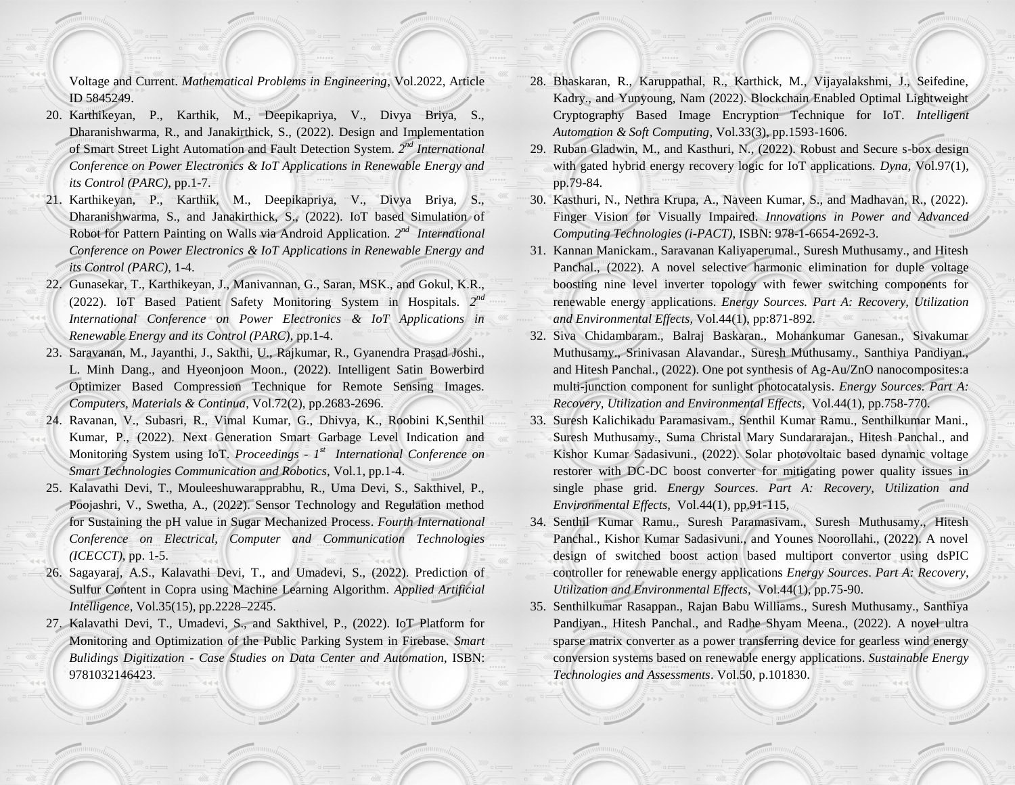Voltage and Current. *Mathematical Problems in Engineering*, Vol.2022, Article ID 5845249.

- 20. Karthikeyan, P., Karthik, M., Deepikapriya, V., Divya Briya, S., Dharanishwarma, R., and Janakirthick, S., (2022). Design and Implementation of Smart Street Light Automation and Fault Detection System. *2 nd International Conference on Power Electronics & IoT Applications in Renewable Energy and its Control (PARC)*, pp.1-7.
- 21. Karthikeyan, P., Karthik, M., Deepikapriya, V., Divya Briya, S., Dharanishwarma, S., and Janakirthick, S., (2022). IoT based Simulation of Robot for Pattern Painting on Walls via Android Application. 2<sup>nd</sup> International *Conference on Power Electronics & IoT Applications in Renewable Energy and its Control (PARC)*, 1-4.
- 22. Gunasekar, T., Karthikeyan, J., Manivannan, G., Saran, MSK., and Gokul, K.R., (2022). IoT Based Patient Safety Monitoring System in Hospitals. *2 nd International Conference on Power Electronics & IoT Applications in Renewable Energy and its Control (PARC)*, pp.1-4.
- 23. Saravanan, M., Jayanthi, J., Sakthi, U., Rajkumar, R., Gyanendra Prasad Joshi., L. Minh Dang., and Hyeonjoon Moon., (2022). Intelligent Satin Bowerbird Optimizer Based Compression Technique for Remote Sensing Images. *Computers, Materials & Continua*, Vol.72(2), pp.2683-2696.
- 24. Ravanan, V., Subasri, R., Vimal Kumar, G., Dhivya, K., Roobini K,Senthil Kumar, P., (2022). Next Generation Smart Garbage Level Indication and Monitoring System using IoT. *Proceedings - 1<sup>st</sup> International Conference on Smart Technologies Communication and Robotics*, Vol.1, pp.1-4.
- 25. Kalavathi Devi, T., Mouleeshuwarapprabhu, R., Uma Devi, S., Sakthivel, P., Poojashri, V., Swetha, A., (2022). Sensor Technology and Regulation method for Sustaining the pH value in Sugar Mechanized Process. *Fourth International Conference on Electrical, Computer and Communication Technologies (ICECCT)*, pp. 1-5.
- 26. Sagayaraj, A.S., Kalavathi Devi, T., and Umadevi, S., (2022). Prediction of Sulfur Content in Copra using Machine Learning Algorithm. *Applied Artificial Intelligence*, Vol.35(15), pp.2228–2245.
- 27. Kalavathi Devi, T., Umadevi, S., and Sakthivel, P., (2022). IoT Platform for Monitoring and Optimization of the Public Parking System in Firebase. *Smart Bulidings Digitization - Case Studies on Data Center and Automation*, ISBN: 9781032146423.
- 28. Bhaskaran, R., Karuppathal, R., Karthick, M., Vijayalakshmi, J., Seifedine, Kadry., and Yunyoung, Nam (2022). Blockchain Enabled Optimal Lightweight Cryptography Based Image Encryption Technique for IoT. *Intelligent Automation & Soft Computing*, Vol.33(3), pp.1593-1606.
- 29. Ruban Gladwin, M., and Kasthuri, N., (2022). Robust and Secure s-box design with gated hybrid energy recovery logic for IoT applications. *Dyna*, Vol.97(1), pp.79-84.
- 30. Kasthuri, N., Nethra Krupa, A., Naveen Kumar, S., and Madhavan, R., (2022). Finger Vision for Visually Impaired. *Innovations in Power and Advanced Computing Technologies (i-PACT)*, ISBN: 978-1-6654-2692-3.
- 31. Kannan Manickam., Saravanan Kaliyaperumal., Suresh Muthusamy., and Hitesh Panchal., (2022). A novel selective harmonic elimination for duple voltage boosting nine level inverter topology with fewer switching components for renewable energy applications. *Energy Sources. Part A: Recovery, Utilization and Environmental Effects,* Vol.44(1), pp:871-892.
- 32. Siva Chidambaram., Balraj Baskaran., Mohankumar Ganesan., Sivakumar Muthusamy., Srinivasan Alavandar., Suresh Muthusamy., Santhiya Pandiyan., and Hitesh Panchal., (2022). One pot synthesis of Ag-Au/ZnO nanocomposites:a multi-junction component for sunlight photocatalysis. *Energy Sources. Part A: Recovery, Utilization and Environmental Effects,* Vol.44(1), pp.758-770.
- 33. Suresh Kalichikadu Paramasivam., Senthil Kumar Ramu., Senthilkumar Mani., Suresh Muthusamy., Suma Christal Mary Sundararajan., Hitesh Panchal., and Kishor Kumar Sadasivuni., (2022). Solar photovoltaic based dynamic voltage restorer with DC-DC boost converter for mitigating power quality issues in single phase grid. *Energy Sources*. *Part A: Recovery, Utilization and Environmental Effects,* Vol.44(1), pp.91-115,
- 34. Senthil Kumar Ramu., Suresh Paramasivam., Suresh Muthusamy., Hitesh Panchal., Kishor Kumar Sadasivuni., and Younes Noorollahi., (2022). A novel design of switched boost action based multiport convertor using dsPIC controller for renewable energy applications *Energy Sources*. *Part A: Recovery, Utilization and Environmental Effects,* Vol.44(1), pp.75-90.
- 35. Senthilkumar Rasappan., Rajan Babu Williams., Suresh Muthusamy., Santhiya Pandiyan., Hitesh Panchal., and Radhe Shyam Meena., (2022). A novel ultra sparse matrix converter as a power transferring device for gearless wind energy conversion systems based on renewable energy applications. *Sustainable Energy Technologies and Assessments*. Vol.50, p.101830.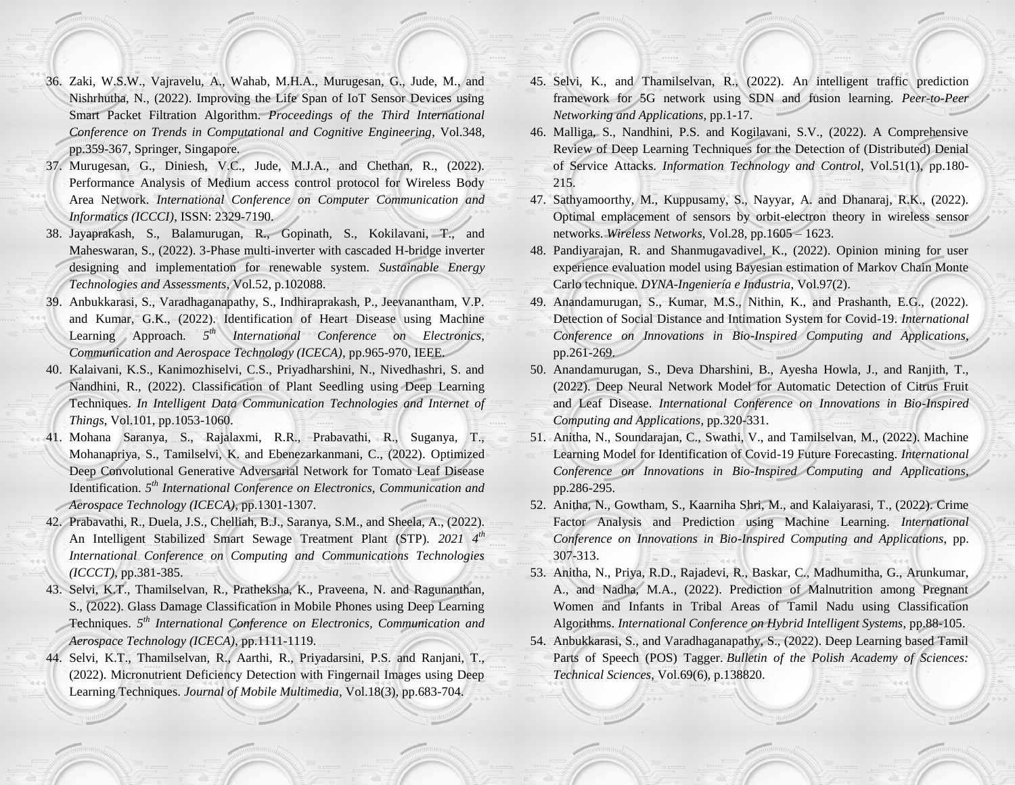- 36. Zaki, W.S.W., Vajravelu, A., Wahab, M.H.A., Murugesan, G., Jude, M., and Nishrhutha, N., (2022). Improving the Life Span of IoT Sensor Devices using Smart Packet Filtration Algorithm. *Proceedings of the Third International Conference on Trends in Computational and Cognitive Engineering*, Vol.348, pp.359-367, Springer, Singapore.
- 37. Murugesan, G., Diniesh, V.C., Jude, M.J.A., and Chethan, R., (2022). Performance Analysis of Medium access control protocol for Wireless Body Area Network. *International Conference on Computer Communication and Informatics (ICCCI)*, ISSN: 2329-7190.
- 38. Jayaprakash, S., Balamurugan, R., Gopinath, S., Kokilavani, T., and Maheswaran, S., (2022). 3-Phase multi-inverter with cascaded H-bridge inverter designing and implementation for renewable system. *Sustainable Energy Technologies and Assessments*, Vol.52, p.102088.
- 39. Anbukkarasi, S., Varadhaganapathy, S., Indhiraprakash, P., Jeevanantham, V.P. and Kumar, G.K., (2022). Identification of Heart Disease using Machine Learning Approach. 5<sup>th</sup> International Conference on Electronics, *Communication and Aerospace Technology (ICECA)*, pp.965-970, IEEE.
- 40. Kalaivani, K.S., Kanimozhiselvi, C.S., Priyadharshini, N., Nivedhashri, S. and Nandhini, R., (2022). Classification of Plant Seedling using Deep Learning Techniques. *In Intelligent Data Communication Technologies and Internet of Things*, Vol.101, pp.1053-1060.
- 41. Mohana Saranya, S., Rajalaxmi, R.R., Prabavathi, R., Suganya, T., Mohanapriya, S., Tamilselvi, K. and Ebenezarkanmani, C., (2022). Optimized Deep Convolutional Generative Adversarial Network for Tomato Leaf Disease Identification. *5 th International Conference on Electronics, Communication and Aerospace Technology (ICECA)*, pp.1301-1307.
- 42. Prabavathi, R., Duela, J.S., Chelliah, B.J., Saranya, S.M., and Sheela, A., (2022). An Intelligent Stabilized Smart Sewage Treatment Plant (STP). *2021 4th International Conference on Computing and Communications Technologies (ICCCT)*, pp.381-385.
- 43. Selvi, K.T., Thamilselvan, R., Pratheksha, K., Praveena, N. and Ragunanthan, S., (2022). Glass Damage Classification in Mobile Phones using Deep Learning Techniques. *5 th International Conference on Electronics, Communication and Aerospace Technology (ICECA)*, pp.1111-1119.
- 44. Selvi, K.T., Thamilselvan, R., Aarthi, R., Priyadarsini, P.S. and Ranjani, T., (2022). Micronutrient Deficiency Detection with Fingernail Images using Deep Learning Techniques. *Journal of Mobile Multimedia*, Vol.18(3), pp.683-704.
- 45. Selvi, K., and Thamilselvan, R., (2022). An intelligent traffic prediction framework for 5G network using SDN and fusion learning. *Peer-to-Peer Networking and Applications*, pp.1-17.
- 46. Malliga, S., Nandhini, P.S. and Kogilavani, S.V., (2022). A Comprehensive Review of Deep Learning Techniques for the Detection of (Distributed) Denial of Service Attacks. *Information Technology and Control*, Vol.51(1), pp.180- 215.
- 47. Sathyamoorthy, M., Kuppusamy, S., Nayyar, A. and Dhanaraj, R.K., (2022). Optimal emplacement of sensors by orbit-electron theory in wireless sensor networks. *Wireless Networks*, Vol.28, pp.1605 – 1623.
- 48. Pandiyarajan, R. and Shanmugavadivel, K., (2022). Opinion mining for user experience evaluation model using Bayesian estimation of Markov Chain Monte Carlo technique. *DYNA-Ingeniería e Industria*, Vol.97(2).
- 49. Anandamurugan, S., Kumar, M.S., Nithin, K., and Prashanth, E.G., (2022). Detection of Social Distance and Intimation System for Covid-19. *International Conference on Innovations in Bio-Inspired Computing and Applications*, pp.261-269.
- 50. Anandamurugan, S., Deva Dharshini, B., Ayesha Howla, J., and Ranjith, T., (2022). Deep Neural Network Model for Automatic Detection of Citrus Fruit and Leaf Disease. *International Conference on Innovations in Bio-Inspired Computing and Applications*, pp.320-331.
- 51. Anitha, N., Soundarajan, C., Swathi, V., and Tamilselvan, M., (2022). Machine Learning Model for Identification of Covid-19 Future Forecasting. *International Conference on Innovations in Bio-Inspired Computing and Applications*, pp.286-295.
- 52. Anitha, N., Gowtham, S., Kaarniha Shri, M., and Kalaiyarasi, T., (2022). Crime Factor Analysis and Prediction using Machine Learning. *International Conference on Innovations in Bio-Inspired Computing and Applications*, pp. 307-313.
- 53. Anitha, N., Priya, R.D., Rajadevi, R., Baskar, C., Madhumitha, G., Arunkumar, A., and Nadha, M.A., (2022). Prediction of Malnutrition among Pregnant Women and Infants in Tribal Areas of Tamil Nadu using Classification Algorithms. *International Conference on Hybrid Intelligent Systems*, pp.88-105.
- 54. Anbukkarasi, S., and Varadhaganapathy, S., (2022). Deep Learning based Tamil Parts of Speech (POS) Tagger. *Bulletin of the Polish Academy of Sciences: Technical Sciences*, Vol.69(6), p.138820.